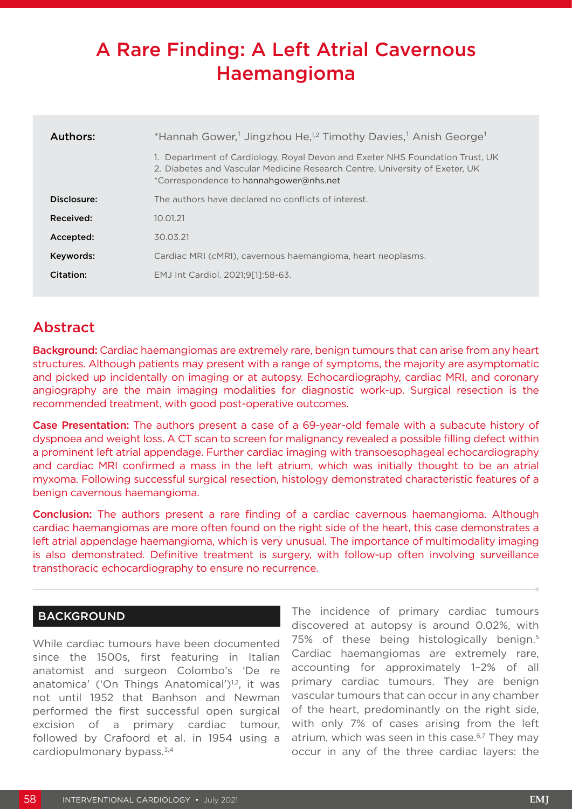# A Rare Finding: A Left Atrial Cavernous Haemangioma

| Authors:    | *Hannah Gower, <sup>1</sup> Jingzhou He, <sup>1,2</sup> Timothy Davies, <sup>1</sup> Anish George <sup>1</sup>                                                                                     |  |
|-------------|----------------------------------------------------------------------------------------------------------------------------------------------------------------------------------------------------|--|
|             | Department of Cardiology, Royal Devon and Exeter NHS Foundation Trust, UK<br>2. Diabetes and Vascular Medicine Research Centre, University of Exeter, UK<br>*Correspondence to hannahgower@nhs.net |  |
| Disclosure: | The authors have declared no conflicts of interest.                                                                                                                                                |  |
| Received:   | 10.01.21                                                                                                                                                                                           |  |
| Accepted:   | 30.03.21                                                                                                                                                                                           |  |
| Keywords:   | Cardiac MRI (cMRI), cavernous haemangioma, heart neoplasms.                                                                                                                                        |  |
| Citation:   | EMJ Int Cardiol. 2021;9[1]:58-63.                                                                                                                                                                  |  |

## Abstract

**Background:** Cardiac haemangiomas are extremely rare, benign tumours that can arise from any heart structures. Although patients may present with a range of symptoms, the majority are asymptomatic and picked up incidentally on imaging or at autopsy. Echocardiography, cardiac MRI, and coronary angiography are the main imaging modalities for diagnostic work-up. Surgical resection is the recommended treatment, with good post-operative outcomes.

Case Presentation: The authors present a case of a 69-year-old female with a subacute history of dyspnoea and weight loss. A CT scan to screen for malignancy revealed a possible filling defect within a prominent left atrial appendage. Further cardiac imaging with transoesophageal echocardiography and cardiac MRI confirmed a mass in the left atrium, which was initially thought to be an atrial myxoma. Following successful surgical resection, histology demonstrated characteristic features of a benign cavernous haemangioma.

Conclusion: The authors present a rare finding of a cardiac cavernous haemangioma. Although cardiac haemangiomas are more often found on the right side of the heart, this case demonstrates a left atrial appendage haemangioma, which is very unusual. The importance of multimodality imaging is also demonstrated. Definitive treatment is surgery, with follow-up often involving surveillance transthoracic echocardiography to ensure no recurrence.

#### **BACKGROUND**

While cardiac tumours have been documented since the 1500s, first featuring in Italian anatomist and surgeon Colombo's 'De re anatomica' ('On Things Anatomical')<sup>1,2</sup>, it was not until 1952 that Banhson and Newman performed the first successful open surgical excision of a primary cardiac tumour, followed by Crafoord et al. in 1954 using a cardiopulmonary bypass. $3,4$ 

The incidence of primary cardiac tumours discovered at autopsy is around 0.02%, with 75% of these being histologically benign.<sup>5</sup> Cardiac haemangiomas are extremely rare, accounting for approximately 1–2% of all primary cardiac tumours. They are benign vascular tumours that can occur in any chamber of the heart, predominantly on the right side, with only 7% of cases arising from the left atrium, which was seen in this case.<sup>6,7</sup> They may occur in any of the three cardiac layers: the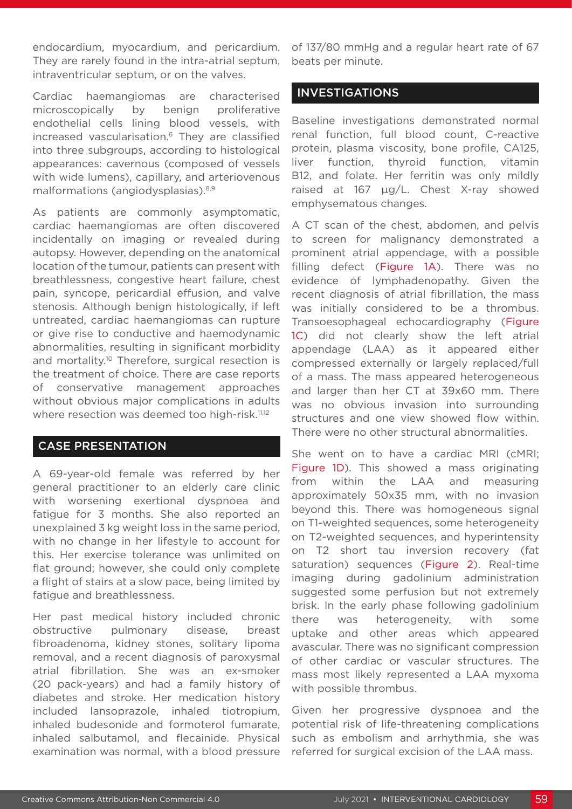endocardium, myocardium, and pericardium. They are rarely found in the intra-atrial septum, intraventricular septum, or on the valves.

Cardiac haemangiomas are characterised microscopically by benign proliferative endothelial cells lining blood vessels, with increased vascularisation.6 They are classified into three subgroups, according to histological appearances: cavernous (composed of vessels with wide lumens), capillary, and arteriovenous malformations (angiodysplasias).8,9

As patients are commonly asymptomatic, cardiac haemangiomas are often discovered incidentally on imaging or revealed during autopsy. However, depending on the anatomical location of the tumour, patients can present with breathlessness, congestive heart failure, chest pain, syncope, pericardial effusion, and valve stenosis. Although benign histologically, if left untreated, cardiac haemangiomas can rupture or give rise to conductive and haemodynamic abnormalities, resulting in significant morbidity and mortality.<sup>10</sup> Therefore, surgical resection is the treatment of choice. There are case reports of conservative management approaches without obvious major complications in adults where resection was deemed too high-risk.<sup>11,12</sup>

#### CASE PRESENTATION

A 69-year-old female was referred by her general practitioner to an elderly care clinic with worsening exertional dyspnoea and fatigue for 3 months. She also reported an unexplained 3 kg weight loss in the same period, with no change in her lifestyle to account for this. Her exercise tolerance was unlimited on flat ground; however, she could only complete a flight of stairs at a slow pace, being limited by fatigue and breathlessness.

Her past medical history included chronic obstructive pulmonary disease, breast fibroadenoma, kidney stones, solitary lipoma removal, and a recent diagnosis of paroxysmal atrial fibrillation. She was an ex-smoker (20 pack-years) and had a family history of diabetes and stroke. Her medication history included lansoprazole, inhaled tiotropium, inhaled budesonide and formoterol fumarate, inhaled salbutamol, and flecainide. Physical examination was normal, with a blood pressure

of 137/80 mmHg and a regular heart rate of 67 beats per minute.

#### INVESTIGATIONS

Baseline investigations demonstrated normal renal function, full blood count, C-reactive protein, plasma viscosity, bone profile, CA125, liver function, thyroid function, vitamin B12, and folate. Her ferritin was only mildly raised at 167 μg/L. Chest X-ray showed emphysematous changes.

A CT scan of the chest, abdomen, and pelvis to screen for malignancy demonstrated a prominent atrial appendage, with a possible filling defect (Figure 1A). There was no evidence of lymphadenopathy. Given the recent diagnosis of atrial fibrillation, the mass was initially considered to be a thrombus. Transoesophageal echocardiography (Figure 1C) did not clearly show the left atrial appendage (LAA) as it appeared either compressed externally or largely replaced/full of a mass. The mass appeared heterogeneous and larger than her CT at 39x60 mm. There was no obvious invasion into surrounding structures and one view showed flow within. There were no other structural abnormalities.

She went on to have a cardiac MRI (cMRI; Figure 1D). This showed a mass originating from within the LAA and measuring approximately 50x35 mm, with no invasion beyond this. There was homogeneous signal on T1-weighted sequences, some heterogeneity on T2-weighted sequences, and hyperintensity on T2 short tau inversion recovery (fat saturation) sequences (Figure 2). Real-time imaging during gadolinium administration suggested some perfusion but not extremely brisk. In the early phase following gadolinium there was heterogeneity, with some uptake and other areas which appeared avascular. There was no significant compression of other cardiac or vascular structures. The mass most likely represented a LAA myxoma with possible thrombus.

Given her progressive dyspnoea and the potential risk of life-threatening complications such as embolism and arrhythmia, she was referred for surgical excision of the LAA mass.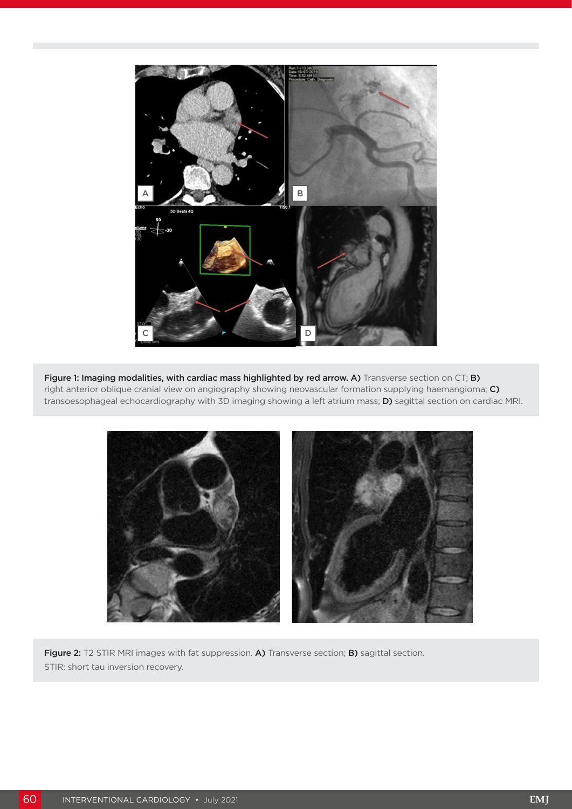

Figure 1: Imaging modalities, with cardiac mass highlighted by red arrow. A) Transverse section on CT; B) right anterior oblique cranial view on angiography showing neovascular formation supplying haemangioma; C) transoesophageal echocardiography with 3D imaging showing a left atrium mass; D) sagittal section on cardiac MRI.



Figure 2: T2 STIR MRI images with fat suppression. A) Transverse section; B) sagittal section. STIR: short tau inversion recovery.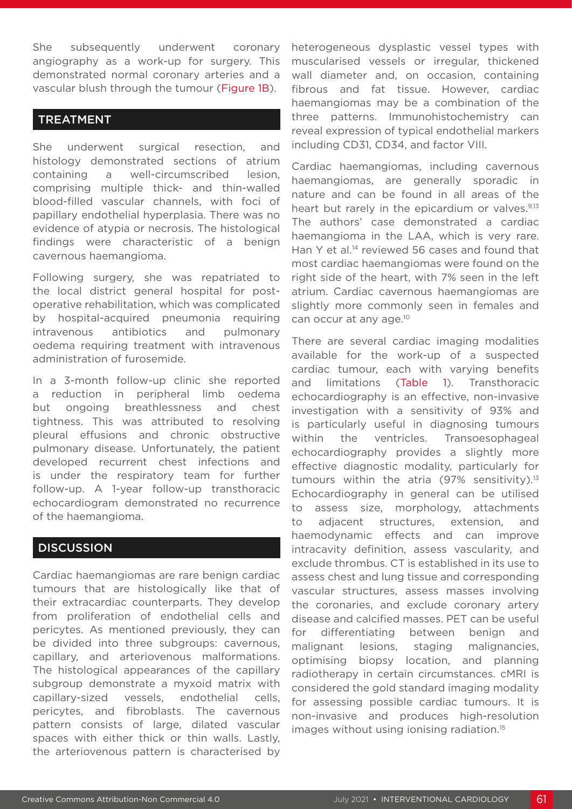She subsequently underwent coronary angiography as a work-up for surgery. This demonstrated normal coronary arteries and a vascular blush through the tumour (Figure 1B).

### TREATMENT

She underwent surgical resection, and histology demonstrated sections of atrium containing a well-circumscribed lesion, comprising multiple thick- and thin-walled blood-filled vascular channels, with foci of papillary endothelial hyperplasia. There was no evidence of atypia or necrosis. The histological findings were characteristic of a benign cavernous haemangioma.

Following surgery, she was repatriated to the local district general hospital for postoperative rehabilitation, which was complicated by hospital-acquired pneumonia requiring intravenous antibiotics and pulmonary oedema requiring treatment with intravenous administration of furosemide.

In a 3-month follow-up clinic she reported a reduction in peripheral limb oedema but ongoing breathlessness and chest tightness. This was attributed to resolving pleural effusions and chronic obstructive pulmonary disease. Unfortunately, the patient developed recurrent chest infections and is under the respiratory team for further follow-up. A 1-year follow-up transthoracic echocardiogram demonstrated no recurrence of the haemangioma.

#### **DISCUSSION**

Cardiac haemangiomas are rare benign cardiac tumours that are histologically like that of their extracardiac counterparts. They develop from proliferation of endothelial cells and pericytes. As mentioned previously, they can be divided into three subgroups: cavernous, capillary, and arteriovenous malformations. The histological appearances of the capillary subgroup demonstrate a myxoid matrix with capillary-sized vessels, endothelial cells, pericytes, and fibroblasts. The cavernous pattern consists of large, dilated vascular spaces with either thick or thin walls. Lastly, the arteriovenous pattern is characterised by

heterogeneous dysplastic vessel types with muscularised vessels or irregular, thickened wall diameter and, on occasion, containing fibrous and fat tissue. However, cardiac haemangiomas may be a combination of the three patterns. Immunohistochemistry can reveal expression of typical endothelial markers including CD31, CD34, and factor VIII.

Cardiac haemangiomas, including cavernous haemangiomas, are generally sporadic in nature and can be found in all areas of the heart but rarely in the epicardium or valves.<sup>9,13</sup> The authors' case demonstrated a cardiac haemangioma in the LAA, which is very rare. Han Y et al.<sup>14</sup> reviewed 56 cases and found that most cardiac haemangiomas were found on the right side of the heart, with 7% seen in the left atrium. Cardiac cavernous haemangiomas are slightly more commonly seen in females and can occur at any age.<sup>10</sup>

There are several cardiac imaging modalities available for the work-up of a suspected cardiac tumour, each with varying benefits and limitations (Table 1). Transthoracic echocardiography is an effective, non-invasive investigation with a sensitivity of 93% and is particularly useful in diagnosing tumours within the ventricles. Transoesophageal echocardiography provides a slightly more effective diagnostic modality, particularly for tumours within the atria  $(97\% \text{ sensitivity})$ .<sup>13</sup> Echocardiography in general can be utilised to assess size, morphology, attachments to adjacent structures, extension, and haemodynamic effects and can improve intracavity definition, assess vascularity, and exclude thrombus. CT is established in its use to assess chest and lung tissue and corresponding vascular structures, assess masses involving the coronaries, and exclude coronary artery disease and calcified masses. PET can be useful for differentiating between benign and malignant lesions, staging malignancies, optimising biopsy location, and planning radiotherapy in certain circumstances. cMRI is considered the gold standard imaging modality for assessing possible cardiac tumours. It is non-invasive and produces high-resolution images without using ionising radiation.<sup>15</sup>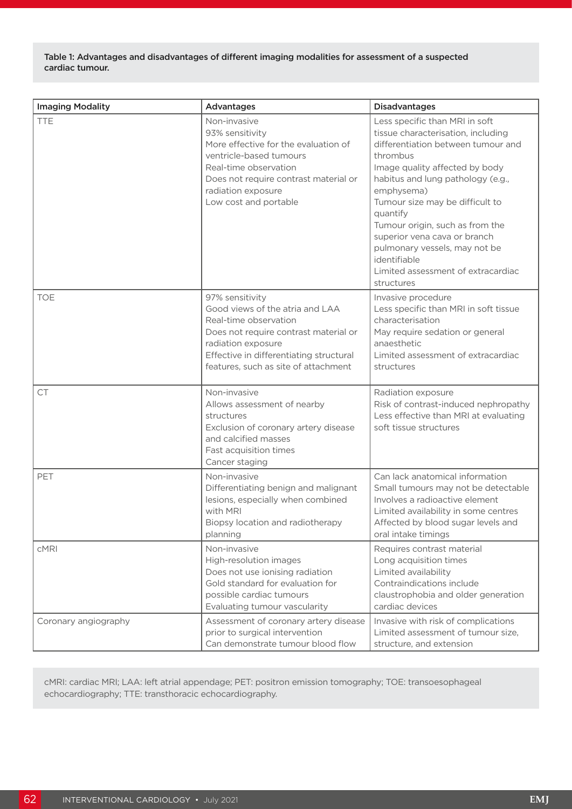Table 1: Advantages and disadvantages of different imaging modalities for assessment of a suspected cardiac tumour.

| <b>Imaging Modality</b> | <b>Advantages</b>                                                                                                                                                                                                             | <b>Disadvantages</b>                                                                                                                                                                                                                                                                                                                                                                                                               |
|-------------------------|-------------------------------------------------------------------------------------------------------------------------------------------------------------------------------------------------------------------------------|------------------------------------------------------------------------------------------------------------------------------------------------------------------------------------------------------------------------------------------------------------------------------------------------------------------------------------------------------------------------------------------------------------------------------------|
| <b>TTE</b>              | Non-invasive<br>93% sensitivity<br>More effective for the evaluation of<br>ventricle-based tumours<br>Real-time observation<br>Does not require contrast material or<br>radiation exposure<br>Low cost and portable           | Less specific than MRI in soft<br>tissue characterisation, including<br>differentiation between tumour and<br>thrombus<br>Image quality affected by body<br>habitus and lung pathology (e.g.,<br>emphysema)<br>Tumour size may be difficult to<br>quantify<br>Tumour origin, such as from the<br>superior vena cava or branch<br>pulmonary vessels, may not be<br>identifiable<br>Limited assessment of extracardiac<br>structures |
| <b>TOE</b>              | 97% sensitivity<br>Good views of the atria and LAA<br>Real-time observation<br>Does not require contrast material or<br>radiation exposure<br>Effective in differentiating structural<br>features, such as site of attachment | Invasive procedure<br>Less specific than MRI in soft tissue<br>characterisation<br>May require sedation or general<br>anaesthetic<br>Limited assessment of extracardiac<br>structures                                                                                                                                                                                                                                              |
| CT                      | Non-invasive<br>Allows assessment of nearby<br>structures<br>Exclusion of coronary artery disease<br>and calcified masses<br>Fast acquisition times<br>Cancer staging                                                         | Radiation exposure<br>Risk of contrast-induced nephropathy<br>Less effective than MRI at evaluating<br>soft tissue structures                                                                                                                                                                                                                                                                                                      |
| PET                     | Non-invasive<br>Differentiating benign and malignant<br>lesions, especially when combined<br>with MRI<br>Biopsy location and radiotherapy<br>planning                                                                         | Can lack anatomical information<br>Small tumours may not be detectable<br>Involves a radioactive element<br>Limited availability in some centres<br>Affected by blood sugar levels and<br>oral intake timings                                                                                                                                                                                                                      |
| <b>cMRI</b>             | Non-invasive<br>High-resolution images<br>Does not use ionising radiation<br>Gold standard for evaluation for<br>possible cardiac tumours<br>Evaluating tumour vascularity                                                    | Requires contrast material<br>Long acquisition times<br>Limited availability<br>Contraindications include<br>claustrophobia and older generation<br>cardiac devices                                                                                                                                                                                                                                                                |
| Coronary angiography    | Assessment of coronary artery disease<br>prior to surgical intervention<br>Can demonstrate tumour blood flow                                                                                                                  | Invasive with risk of complications<br>Limited assessment of tumour size,<br>structure, and extension                                                                                                                                                                                                                                                                                                                              |

cMRI: cardiac MRI; LAA: left atrial appendage; PET: positron emission tomography; TOE: transoesophageal echocardiography; TTE: transthoracic echocardiography.